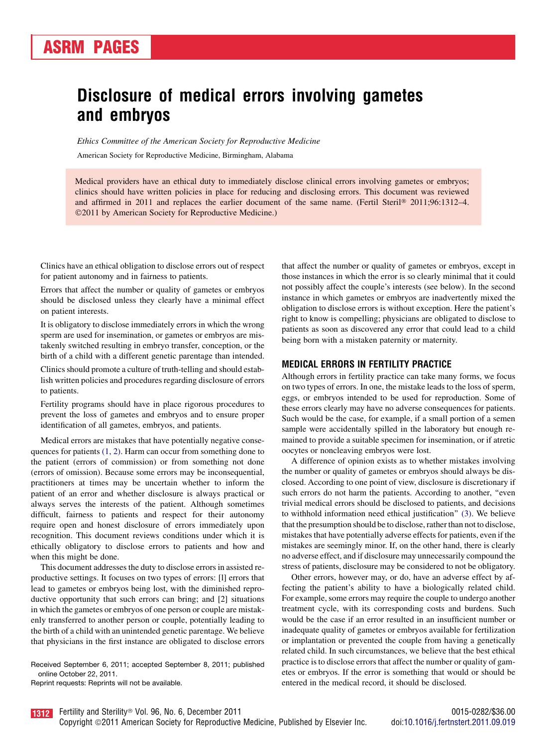# ASRM PAGES

## Disclosure of medical errors involving gametes and embryos

Ethics Committee of the American Society for Reproductive Medicine American Society for Reproductive Medicine, Birmingham, Alabama

Medical providers have an ethical duty to immediately disclose clinical errors involving gametes or embryos; clinics should have written policies in place for reducing and disclosing errors. This document was reviewed and affirmed in 2011 and replaces the earlier document of the same name. (Fertil Steril® 2011;96:1312-4. 2011 by American Society for Reproductive Medicine.)

Clinics have an ethical obligation to disclose errors out of respect for patient autonomy and in fairness to patients.

Errors that affect the number or quality of gametes or embryos should be disclosed unless they clearly have a minimal effect on patient interests.

It is obligatory to disclose immediately errors in which the wrong sperm are used for insemination, or gametes or embryos are mistakenly switched resulting in embryo transfer, conception, or the birth of a child with a different genetic parentage than intended.

Clinics should promote a culture of truth-telling and should establish written policies and procedures regarding disclosure of errors to patients.

Fertility programs should have in place rigorous procedures to prevent the loss of gametes and embryos and to ensure proper identification of all gametes, embryos, and patients.

Medical errors are mistakes that have potentially negative consequences for patients [\(1, 2\)](#page-2-0). Harm can occur from something done to the patient (errors of commission) or from something not done (errors of omission). Because some errors may be inconsequential, practitioners at times may be uncertain whether to inform the patient of an error and whether disclosure is always practical or always serves the interests of the patient. Although sometimes difficult, fairness to patients and respect for their autonomy require open and honest disclosure of errors immediately upon recognition. This document reviews conditions under which it is ethically obligatory to disclose errors to patients and how and when this might be done.

This document addresses the duty to disclose errors in assisted reproductive settings. It focuses on two types of errors: [l] errors that lead to gametes or embryos being lost, with the diminished reproductive opportunity that such errors can bring; and [2] situations in which the gametes or embryos of one person or couple are mistakenly transferred to another person or couple, potentially leading to the birth of a child with an unintended genetic parentage. We believe that physicians in the first instance are obligated to disclose errors

Received September 6, 2011; accepted September 8, 2011; published online October 22, 2011.

Reprint requests: Reprints will not be available.

that affect the number or quality of gametes or embryos, except in those instances in which the error is so clearly minimal that it could not possibly affect the couple's interests (see below). In the second instance in which gametes or embryos are inadvertently mixed the obligation to disclose errors is without exception. Here the patient's right to know is compelling; physicians are obligated to disclose to patients as soon as discovered any error that could lead to a child being born with a mistaken paternity or maternity.

#### MEDICAL ERRORS IN FERTILITY PRACTICE

Although errors in fertility practice can take many forms, we focus on two types of errors. In one, the mistake leads to the loss of sperm, eggs, or embryos intended to be used for reproduction. Some of these errors clearly may have no adverse consequences for patients. Such would be the case, for example, if a small portion of a semen sample were accidentally spilled in the laboratory but enough remained to provide a suitable specimen for insemination, or if atretic oocytes or noncleaving embryos were lost.

A difference of opinion exists as to whether mistakes involving the number or quality of gametes or embryos should always be disclosed. According to one point of view, disclosure is discretionary if such errors do not harm the patients. According to another, "even trivial medical errors should be disclosed to patients, and decisions to withhold information need ethical justification'' [\(3\).](#page-2-0) We believe that the presumption should be to disclose, rather than not to disclose, mistakes that have potentially adverse effects for patients, even if the mistakes are seemingly minor. If, on the other hand, there is clearly no adverse effect, and if disclosure may unnecessarily compound the stress of patients, disclosure may be considered to not be obligatory.

Other errors, however may, or do, have an adverse effect by affecting the patient's ability to have a biologically related child. For example, some errors may require the couple to undergo another treatment cycle, with its corresponding costs and burdens. Such would be the case if an error resulted in an insufficient number or inadequate quality of gametes or embryos available for fertilization or implantation or prevented the couple from having a genetically related child. In such circumstances, we believe that the best ethical practice is to disclose errors that affect the number or quality of gametes or embryos. If the error is something that would or should be entered in the medical record, it should be disclosed.

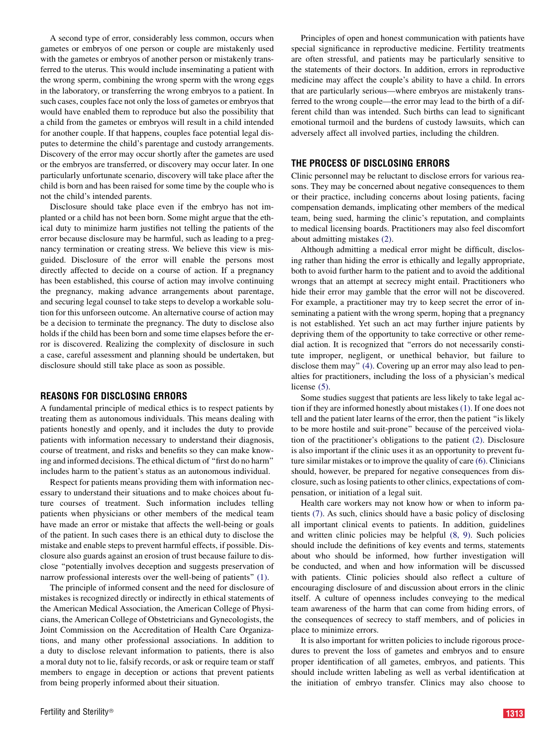A second type of error, considerably less common, occurs when gametes or embryos of one person or couple are mistakenly used with the gametes or embryos of another person or mistakenly transferred to the uterus. This would include inseminating a patient with the wrong sperm, combining the wrong sperm with the wrong eggs in the laboratory, or transferring the wrong embryos to a patient. In such cases, couples face not only the loss of gametes or embryos that would have enabled them to reproduce but also the possibility that a child from the gametes or embryos will result in a child intended for another couple. If that happens, couples face potential legal disputes to determine the child's parentage and custody arrangements. Discovery of the error may occur shortly after the gametes are used or the embryos are transferred, or discovery may occur later. In one particularly unfortunate scenario, discovery will take place after the child is born and has been raised for some time by the couple who is not the child's intended parents.

Disclosure should take place even if the embryo has not implanted or a child has not been born. Some might argue that the ethical duty to minimize harm justifies not telling the patients of the error because disclosure may be harmful, such as leading to a pregnancy termination or creating stress. We believe this view is misguided. Disclosure of the error will enable the persons most directly affected to decide on a course of action. If a pregnancy has been established, this course of action may involve continuing the pregnancy, making advance arrangements about parentage, and securing legal counsel to take steps to develop a workable solution for this unforseen outcome. An alternative course of action may be a decision to terminate the pregnancy. The duty to disclose also holds if the child has been born and some time elapses before the error is discovered. Realizing the complexity of disclosure in such a case, careful assessment and planning should be undertaken, but disclosure should still take place as soon as possible.

#### REASONS FOR DISCLOSING ERRORS

A fundamental principle of medical ethics is to respect patients by treating them as autonomous individuals. This means dealing with patients honestly and openly, and it includes the duty to provide patients with information necessary to understand their diagnosis, course of treatment, and risks and benefits so they can make knowing and informed decisions. The ethical dictum of ''first do no harm'' includes harm to the patient's status as an autonomous individual.

Respect for patients means providing them with information necessary to understand their situations and to make choices about future courses of treatment. Such information includes telling patients when physicians or other members of the medical team have made an error or mistake that affects the well-being or goals of the patient. In such cases there is an ethical duty to disclose the mistake and enable steps to prevent harmful effects, if possible. Disclosure also guards against an erosion of trust because failure to disclose ''potentially involves deception and suggests preservation of narrow professional interests over the well-being of patients'' [\(1\).](#page-2-0)

The principle of informed consent and the need for disclosure of mistakes is recognized directly or indirectly in ethical statements of the American Medical Association, the American College of Physicians, the American College of Obstetricians and Gynecologists, the Joint Commission on the Accreditation of Health Care Organizations, and many other professional associations. In addition to a duty to disclose relevant information to patients, there is also a moral duty not to lie, falsify records, or ask or require team or staff members to engage in deception or actions that prevent patients from being properly informed about their situation.

Principles of open and honest communication with patients have special significance in reproductive medicine. Fertility treatments are often stressful, and patients may be particularly sensitive to the statements of their doctors. In addition, errors in reproductive medicine may affect the couple's ability to have a child. In errors that are particularly serious—where embryos are mistakenly transferred to the wrong couple—the error may lead to the birth of a different child than was intended. Such births can lead to significant emotional turmoil and the burdens of custody lawsuits, which can adversely affect all involved parties, including the children.

#### THE PROCESS OF DISCLOSING ERRORS

Clinic personnel may be reluctant to disclose errors for various reasons. They may be concerned about negative consequences to them or their practice, including concerns about losing patients, facing compensation demands, implicating other members of the medical team, being sued, harming the clinic's reputation, and complaints to medical licensing boards. Practitioners may also feel discomfort about admitting mistakes [\(2\).](#page-2-0)

Although admitting a medical error might be difficult, disclosing rather than hiding the error is ethically and legally appropriate, both to avoid further harm to the patient and to avoid the additional wrongs that an attempt at secrecy might entail. Practitioners who hide their error may gamble that the error will not be discovered. For example, a practitioner may try to keep secret the error of inseminating a patient with the wrong sperm, hoping that a pregnancy is not established. Yet such an act may further injure patients by depriving them of the opportunity to take corrective or other remedial action. It is recognized that ''errors do not necessarily constitute improper, negligent, or unethical behavior, but failure to disclose them may'' [\(4\)](#page-2-0). Covering up an error may also lead to penalties for practitioners, including the loss of a physician's medical license [\(5\)](#page-2-0).

Some studies suggest that patients are less likely to take legal action if they are informed honestly about mistakes [\(1\).](#page-2-0) If one does not tell and the patient later learns of the error, then the patient ''is likely to be more hostile and suit-prone'' because of the perceived violation of the practitioner's obligations to the patient [\(2\)](#page-2-0). Disclosure is also important if the clinic uses it as an opportunity to prevent future similar mistakes or to improve the quality of care [\(6\)](#page-2-0). Clinicians should, however, be prepared for negative consequences from disclosure, such as losing patients to other clinics, expectations of compensation, or initiation of a legal suit.

Health care workers may not know how or when to inform patients [\(7\)](#page-2-0). As such, clinics should have a basic policy of disclosing all important clinical events to patients. In addition, guidelines and written clinic policies may be helpful [\(8, 9\).](#page-2-0) Such policies should include the definitions of key events and terms, statements about who should be informed, how further investigation will be conducted, and when and how information will be discussed with patients. Clinic policies should also reflect a culture of encouraging disclosure of and discussion about errors in the clinic itself. A culture of openness includes conveying to the medical team awareness of the harm that can come from hiding errors, of the consequences of secrecy to staff members, and of policies in place to minimize errors.

It is also important for written policies to include rigorous procedures to prevent the loss of gametes and embryos and to ensure proper identification of all gametes, embryos, and patients. This should include written labeling as well as verbal identification at the initiation of embryo transfer. Clinics may also choose to